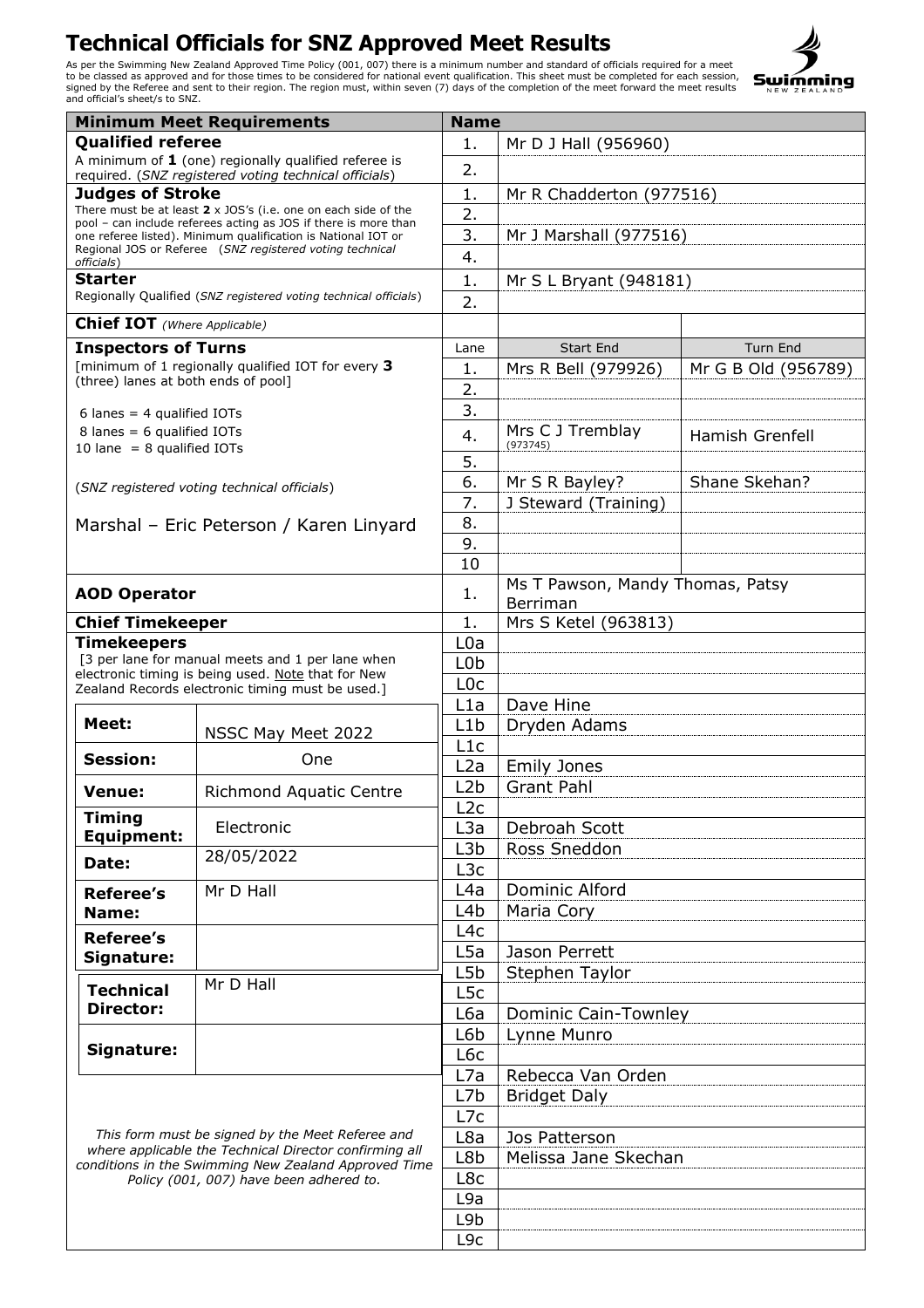## **Technical Officials for SNZ Approved Meet Results**

As per the Swimming New Zealand Approved Time Policy (001, 007) there is a minimum number and standard of officials required for a meet<br>to be classed as approved and for those times to be considered for national event qual



| <b>Minimum Meet Requirements</b><br><b>Name</b>                                                                                                                                                               |                                                                                                        |                  |                                  |                     |  |
|---------------------------------------------------------------------------------------------------------------------------------------------------------------------------------------------------------------|--------------------------------------------------------------------------------------------------------|------------------|----------------------------------|---------------------|--|
| <b>Oualified referee</b>                                                                                                                                                                                      |                                                                                                        | 1.               | Mr D J Hall (956960)             |                     |  |
| A minimum of $1$ (one) regionally qualified referee is<br>required. (SNZ registered voting technical officials)                                                                                               |                                                                                                        | 2.               |                                  |                     |  |
| <b>Judges of Stroke</b>                                                                                                                                                                                       |                                                                                                        | 1.               | Mr R Chadderton (977516)         |                     |  |
| There must be at least $2 \times$ JOS's (i.e. one on each side of the                                                                                                                                         |                                                                                                        | 2.               |                                  |                     |  |
| pool - can include referees acting as JOS if there is more than                                                                                                                                               |                                                                                                        | 3.               |                                  |                     |  |
| one referee listed). Minimum qualification is National IOT or<br>Regional JOS or Referee (SNZ registered voting technical                                                                                     |                                                                                                        |                  | Mr J Marshall (977516)           |                     |  |
| officials)                                                                                                                                                                                                    |                                                                                                        | 4.               |                                  |                     |  |
| <b>Starter</b>                                                                                                                                                                                                |                                                                                                        | 1.               | Mr S L Bryant (948181)           |                     |  |
| Regionally Qualified (SNZ registered voting technical officials)                                                                                                                                              |                                                                                                        | 2.               |                                  |                     |  |
| <b>Chief IOT</b> (Where Applicable)                                                                                                                                                                           |                                                                                                        |                  |                                  |                     |  |
| <b>Inspectors of Turns</b>                                                                                                                                                                                    |                                                                                                        | Lane             | <b>Start End</b>                 | <b>Turn End</b>     |  |
| [minimum of 1 regionally qualified IOT for every 3                                                                                                                                                            |                                                                                                        | 1.               | Mrs R Bell (979926)              | Mr G B Old (956789) |  |
| (three) lanes at both ends of pool]                                                                                                                                                                           |                                                                                                        | 2.               |                                  |                     |  |
|                                                                                                                                                                                                               |                                                                                                        | 3.               |                                  |                     |  |
| 6 lanes = $4$ qualified IOTs<br>8 lanes = $6$ qualified IOTs                                                                                                                                                  |                                                                                                        |                  | Mrs C J Tremblay                 |                     |  |
| 10 lane = $8$ qualified IOTs                                                                                                                                                                                  |                                                                                                        | 4.               | (973745)                         | Hamish Grenfell     |  |
|                                                                                                                                                                                                               |                                                                                                        | 5.               |                                  |                     |  |
|                                                                                                                                                                                                               | (SNZ registered voting technical officials)                                                            | 6.               | Mr S R Bayley?                   | Shane Skehan?       |  |
|                                                                                                                                                                                                               |                                                                                                        | 7.               | J Steward (Training)             |                     |  |
|                                                                                                                                                                                                               | Marshal - Eric Peterson / Karen Linyard                                                                | 8.               |                                  |                     |  |
|                                                                                                                                                                                                               |                                                                                                        | 9.               |                                  |                     |  |
|                                                                                                                                                                                                               |                                                                                                        |                  |                                  |                     |  |
|                                                                                                                                                                                                               |                                                                                                        | 10               |                                  |                     |  |
| <b>AOD Operator</b>                                                                                                                                                                                           |                                                                                                        | 1.               | Ms T Pawson, Mandy Thomas, Patsy |                     |  |
|                                                                                                                                                                                                               |                                                                                                        |                  | Berriman                         |                     |  |
| <b>Chief Timekeeper</b>                                                                                                                                                                                       |                                                                                                        | 1.               | Mrs S Ketel (963813)             |                     |  |
| <b>Timekeepers</b>                                                                                                                                                                                            |                                                                                                        | L0a              |                                  |                     |  |
|                                                                                                                                                                                                               | [3 per lane for manual meets and 1 per lane when                                                       | L <sub>0</sub> b |                                  |                     |  |
|                                                                                                                                                                                                               | electronic timing is being used. Note that for New<br>Zealand Records electronic timing must be used.] | L <sub>0</sub> c |                                  |                     |  |
|                                                                                                                                                                                                               |                                                                                                        | L1a              | Dave Hine                        |                     |  |
| Meet:                                                                                                                                                                                                         |                                                                                                        | L1b              | Dryden Adams                     |                     |  |
|                                                                                                                                                                                                               | NSSC May Meet 2022                                                                                     | L1c              |                                  |                     |  |
| <b>Session:</b>                                                                                                                                                                                               | One                                                                                                    | L2a              | <b>Emily Jones</b>               |                     |  |
|                                                                                                                                                                                                               |                                                                                                        | L2b              | <b>Grant Pahl</b>                |                     |  |
| <b>Venue:</b>                                                                                                                                                                                                 | <b>Richmond Aquatic Centre</b>                                                                         | L <sub>2</sub> c |                                  |                     |  |
| Timing                                                                                                                                                                                                        | Electronic                                                                                             | L <sub>3</sub> a | Debroah Scott                    |                     |  |
| <b>Equipment:</b>                                                                                                                                                                                             |                                                                                                        |                  |                                  |                     |  |
| Date:                                                                                                                                                                                                         | 28/05/2022                                                                                             | L3b              | Ross Sneddon                     |                     |  |
|                                                                                                                                                                                                               |                                                                                                        | L <sub>3</sub> c |                                  |                     |  |
| Referee's                                                                                                                                                                                                     | Mr D Hall                                                                                              | L4a              | Dominic Alford                   |                     |  |
| Name:                                                                                                                                                                                                         |                                                                                                        | L <sub>4</sub> b | Maria Cory                       |                     |  |
| <b>Referee's</b>                                                                                                                                                                                              |                                                                                                        | L4c              |                                  |                     |  |
| Signature:                                                                                                                                                                                                    |                                                                                                        | L <sub>5</sub> a | Jason Perrett                    |                     |  |
|                                                                                                                                                                                                               |                                                                                                        | L5b              | Stephen Taylor                   |                     |  |
| <b>Technical</b>                                                                                                                                                                                              | Mr D Hall                                                                                              | L <sub>5</sub> c |                                  |                     |  |
| <b>Director:</b>                                                                                                                                                                                              |                                                                                                        | L6a              | <b>Dominic Cain-Townley</b>      |                     |  |
|                                                                                                                                                                                                               |                                                                                                        | L6b              | Lynne Munro                      |                     |  |
| Signature:                                                                                                                                                                                                    |                                                                                                        |                  |                                  |                     |  |
|                                                                                                                                                                                                               |                                                                                                        | L6c              |                                  |                     |  |
| This form must be signed by the Meet Referee and<br>where applicable the Technical Director confirming all<br>conditions in the Swimming New Zealand Approved Time<br>Policy (001, 007) have been adhered to. |                                                                                                        | L7a              | Rebecca Van Orden                |                     |  |
|                                                                                                                                                                                                               |                                                                                                        | L7b              | <b>Bridget Daly</b>              |                     |  |
|                                                                                                                                                                                                               |                                                                                                        | L7c              |                                  |                     |  |
|                                                                                                                                                                                                               |                                                                                                        | L8a              | Jos Patterson                    |                     |  |
|                                                                                                                                                                                                               |                                                                                                        | L8b              | Melissa Jane Skechan             |                     |  |
|                                                                                                                                                                                                               |                                                                                                        | L8c              |                                  |                     |  |
|                                                                                                                                                                                                               |                                                                                                        | L9a              |                                  |                     |  |
|                                                                                                                                                                                                               |                                                                                                        | L9b              |                                  |                     |  |
|                                                                                                                                                                                                               |                                                                                                        |                  |                                  |                     |  |
|                                                                                                                                                                                                               |                                                                                                        | L <sub>9c</sub>  |                                  |                     |  |